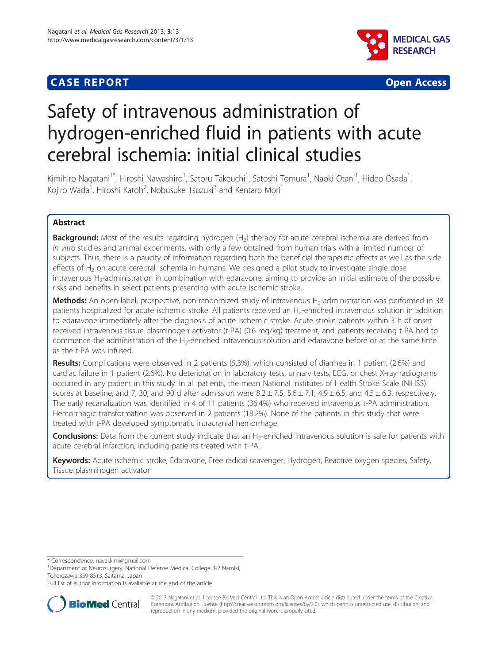





# Safety of intravenous administration of hydrogen-enriched fluid in patients with acute cerebral ischemia: initial clinical studies

Kimihiro Nagatani<sup>1\*</sup>, Hiroshi Nawashiro<sup>1</sup>, Satoru Takeuchi<sup>1</sup>, Satoshi Tomura<sup>1</sup>, Naoki Otani<sup>1</sup>, Hideo Osada<sup>1</sup> , Kojiro Wada<sup>1</sup>, Hiroshi Katoh<sup>2</sup>, Nobusuke Tsuzuki<sup>3</sup> and Kentaro Mori<sup>1</sup>

## Abstract

**Background:** Most of the results regarding hydrogen (H<sub>2</sub>) therapy for acute cerebral ischemia are derived from in vitro studies and animal experiments, with only a few obtained from human trials with a limited number of subjects. Thus, there is a paucity of information regarding both the beneficial therapeutic effects as well as the side effects of  $H_2$  on acute cerebral ischemia in humans. We designed a pilot study to investigate single dose intravenous H<sub>2</sub>-administration in combination with edaravone, aiming to provide an initial estimate of the possible risks and benefits in select patients presenting with acute ischemic stroke.

Methods: An open-label, prospective, non-randomized study of intravenous H<sub>2</sub>-administration was performed in 38 patients hospitalized for acute ischemic stroke. All patients received an H<sub>2</sub>-enriched intravenous solution in addition to edaravone immediately after the diagnosis of acute ischemic stroke. Acute stroke patients within 3 h of onset received intravenous tissue plasminogen activator (t-PA) (0.6 mg/kg) treatment, and patients receiving t-PA had to commence the administration of the H<sub>2</sub>-enriched intravenous solution and edaravone before or at the same time as the t-PA was infused.

Results: Complications were observed in 2 patients (5.3%), which consisted of diarrhea in 1 patient (2.6%) and cardiac failure in 1 patient (2.6%). No deterioration in laboratory tests, urinary tests, ECG, or chest X-ray radiograms occurred in any patient in this study. In all patients, the mean National Institutes of Health Stroke Scale (NIHSS) scores at baseline, and 7, 30, and 90 d after admission were  $8.2 \pm 7.5$ ,  $5.6 \pm 7.1$ ,  $4.9 \pm 6.5$ , and  $4.5 \pm 6.3$ , respectively. The early recanalization was identified in 4 of 11 patients (36.4%) who received intravenous t-PA administration. Hemorrhagic transformation was observed in 2 patients (18.2%). None of the patients in this study that were treated with t-PA developed symptomatic intracranial hemorrhage.

**Conclusions:** Data from the current study indicate that an  $H_2$ -enriched intravenous solution is safe for patients with acute cerebral infarction, including patients treated with t-PA.

Keywords: Acute ischemic stroke, Edaravone, Free radical scavenger, Hydrogen, Reactive oxygen species, Safety, Tissue plasminogen activator

\* Correspondence: [naval.kimi@gmail.com](mailto:naval.kimi@gmail.com) <sup>1</sup>

<sup>1</sup>Department of Neurosurgery, National Defense Medical College 3-2 Namiki, Tokorozawa 359-8513, Saitama, Japan

Full list of author information is available at the end of the article



© 2013 Nagatani et al.; licensee BioMed Central Ltd. This is an Open Access article distributed under the terms of the Creative Commons Attribution License [\(http://creativecommons.org/licenses/by/2.0\)](http://creativecommons.org/licenses/by/2.0), which permits unrestricted use, distribution, and reproduction in any medium, provided the original work is properly cited.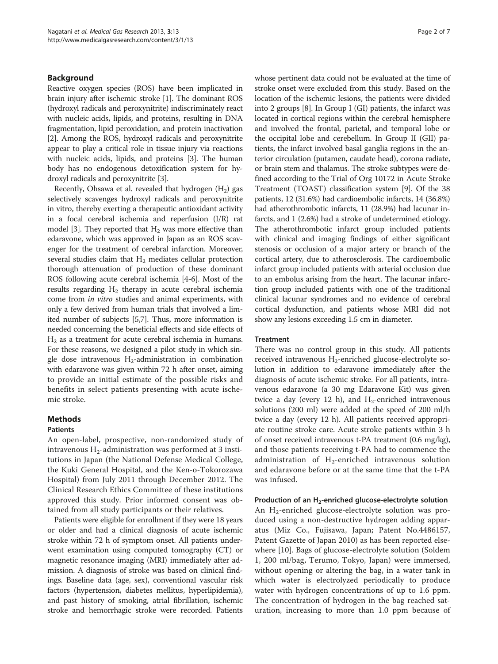## Background

Reactive oxygen species (ROS) have been implicated in brain injury after ischemic stroke [[1](#page-5-0)]. The dominant ROS (hydroxyl radicals and peroxynitrite) indiscriminately react with nucleic acids, lipids, and proteins, resulting in DNA fragmentation, lipid peroxidation, and protein inactivation [[2\]](#page-5-0). Among the ROS, hydroxyl radicals and peroxynitrite appear to play a critical role in tissue injury via reactions with nucleic acids, lipids, and proteins [\[3\]](#page-6-0). The human body has no endogenous detoxification system for hydroxyl radicals and peroxynitrite [[3](#page-6-0)].

Recently, Ohsawa et al. revealed that hydrogen  $(H_2)$  gas selectively scavenges hydroxyl radicals and peroxynitrite in vitro, thereby exerting a therapeutic antioxidant activity in a focal cerebral ischemia and reperfusion (I/R) rat model [[3\]](#page-6-0). They reported that  $H_2$  was more effective than edaravone, which was approved in Japan as an ROS scavenger for the treatment of cerebral infarction. Moreover, several studies claim that  $H_2$  mediates cellular protection thorough attenuation of production of these dominant ROS following acute cerebral ischemia [[4-6\]](#page-6-0). Most of the results regarding  $H_2$  therapy in acute cerebral ischemia come from in vitro studies and animal experiments, with only a few derived from human trials that involved a limited number of subjects [\[5,7\]](#page-6-0). Thus, more information is needed concerning the beneficial effects and side effects of  $H<sub>2</sub>$  as a treatment for acute cerebral ischemia in humans. For these reasons, we designed a pilot study in which single dose intravenous  $H_2$ -administration in combination with edaravone was given within 72 h after onset, aiming to provide an initial estimate of the possible risks and benefits in select patients presenting with acute ischemic stroke.

## **Methods**

#### Patients

An open-label, prospective, non-randomized study of intravenous  $H_2$ -administration was performed at 3 institutions in Japan (the National Defense Medical College, the Kuki General Hospital, and the Ken-o-Tokorozawa Hospital) from July 2011 through December 2012. The Clinical Research Ethics Committee of these institutions approved this study. Prior informed consent was obtained from all study participants or their relatives.

Patients were eligible for enrollment if they were 18 years or older and had a clinical diagnosis of acute ischemic stroke within 72 h of symptom onset. All patients underwent examination using computed tomography (CT) or magnetic resonance imaging (MRI) immediately after admission. A diagnosis of stroke was based on clinical findings. Baseline data (age, sex), conventional vascular risk factors (hypertension, diabetes mellitus, hyperlipidemia), and past history of smoking, atrial fibrillation, ischemic stroke and hemorrhagic stroke were recorded. Patients whose pertinent data could not be evaluated at the time of stroke onset were excluded from this study. Based on the location of the ischemic lesions, the patients were divided into 2 groups [\[8](#page-6-0)]. In Group I (GI) patients, the infarct was located in cortical regions within the cerebral hemisphere and involved the frontal, parietal, and temporal lobe or the occipital lobe and cerebellum. In Group II (GII) patients, the infarct involved basal ganglia regions in the anterior circulation (putamen, caudate head), corona radiate, or brain stem and thalamus. The stroke subtypes were defined according to the Trial of Org 10172 in Acute Stroke Treatment (TOAST) classification system [[9](#page-6-0)]. Of the 38 patients, 12 (31.6%) had cardioembolic infarcts, 14 (36.8%) had atherothrombotic infarcts, 11 (28.9%) had lacunar infarcts, and 1 (2.6%) had a stroke of undetermined etiology. The atherothrombotic infarct group included patients with clinical and imaging findings of either significant stenosis or occlusion of a major artery or branch of the cortical artery, due to atherosclerosis. The cardioembolic infarct group included patients with arterial occlusion due to an embolus arising from the heart. The lacunar infarction group included patients with one of the traditional clinical lacunar syndromes and no evidence of cerebral cortical dysfunction, and patients whose MRI did not show any lesions exceeding 1.5 cm in diameter.

#### Treatment

There was no control group in this study. All patients received intravenous  $H_2$ -enriched glucose-electrolyte solution in addition to edaravone immediately after the diagnosis of acute ischemic stroke. For all patients, intravenous edaravone (a 30 mg Edaravone Kit) was given twice a day (every 12 h), and  $H_2$ -enriched intravenous solutions (200 ml) were added at the speed of 200 ml/h twice a day (every 12 h). All patients received appropriate routine stroke care. Acute stroke patients within 3 h of onset received intravenous t-PA treatment (0.6 mg/kg), and those patients receiving t-PA had to commence the administration of  $H_2$ -enriched intravenous solution and edaravone before or at the same time that the t-PA was infused.

Production of an  $H_2$ -enriched glucose-electrolyte solution

An  $H_2$ -enriched glucose-electrolyte solution was produced using a non-destructive hydrogen adding apparatus (Miz Co., Fujisawa, Japan; Patent No.4486157, Patent Gazette of Japan 2010) as has been reported elsewhere [[10\]](#page-6-0). Bags of glucose-electrolyte solution (Soldem 1, 200 ml/bag, Terumo, Tokyo, Japan) were immersed, without opening or altering the bag, in a water tank in which water is electrolyzed periodically to produce water with hydrogen concentrations of up to 1.6 ppm. The concentration of hydrogen in the bag reached saturation, increasing to more than 1.0 ppm because of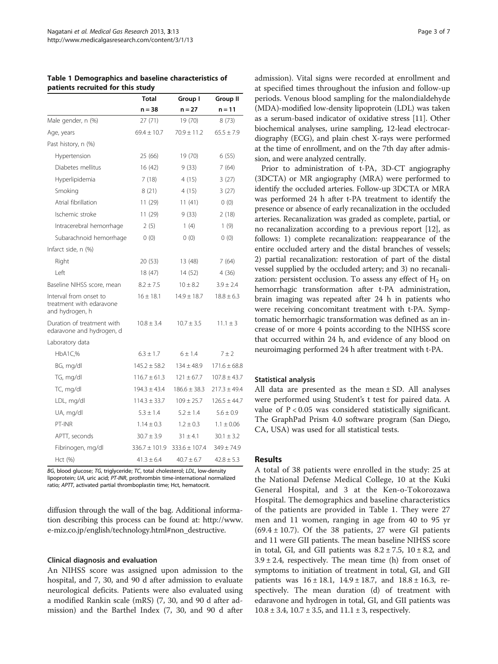|                                                                       | <b>Total</b>                     | Group I          | <b>Group II</b>  |  |
|-----------------------------------------------------------------------|----------------------------------|------------------|------------------|--|
|                                                                       | $n = 38$                         | $n = 27$         | $n = 11$         |  |
| Male gender, n (%)                                                    | 27(71)                           | 19 (70)          | 8(73)            |  |
| Age, years                                                            | $69.4 \pm 10.7$                  | $70.9 \pm 11.2$  | $65.5 \pm 7.9$   |  |
| Past history, n (%)                                                   |                                  |                  |                  |  |
| Hypertension                                                          | 25 (66)                          | 19 (70)          | 6(55)            |  |
| Diabetes mellitus                                                     | 16 (42)                          | 9(33)            | 7(64)            |  |
| Hyperlipidemia                                                        | 7(18)                            | 4(15)            | 3(27)            |  |
| Smoking                                                               | 8(21)                            | 4(15)            | 3(27)            |  |
| Atrial fibrillation                                                   | 11 (29)                          | 11(41)           | 0(0)             |  |
| Ischemic stroke                                                       | 11(29)                           | 9(33)            | 2(18)            |  |
| Intracerebral hemorrhage                                              | 2(5)                             | 1(4)             | 1(9)             |  |
| Subarachnoid hemorrhage                                               | 0(0)                             | 0(0)             | 0(0)             |  |
| Infarct side, n (%)                                                   |                                  |                  |                  |  |
| Right                                                                 | 20 (53)                          | 13 (48)          | 7(64)            |  |
| Left                                                                  | 18 (47)                          | 14 (52)          | 4 (36)           |  |
| Baseline NIHSS score, mean                                            | $8.2 \pm 7.5$                    | $10 \pm 8.2$     | $3.9 \pm 2.4$    |  |
| Interval from onset to<br>treatment with edaravone<br>and hydrogen, h | $16 \pm 18.1$                    | $14.9 \pm 18.7$  | $18.8 \pm 6.3$   |  |
| Duration of treatment with<br>edaravone and hydrogen, d               | $10.8 \pm 3.4$<br>$10.7 \pm 3.5$ |                  | $11.1 \pm 3$     |  |
| Laboratory data                                                       |                                  |                  |                  |  |
| HbA1C,%                                                               | $6.3 \pm 1.7$                    | 6 ± 1.4          | $7 \pm 2$        |  |
| BG, mg/dl                                                             | $145.2 \pm 58.2$                 | $134 \pm 48.9$   | $171.6 \pm 68.8$ |  |
| TG, mg/dl                                                             | $116.7 \pm 61.3$                 | $121 \pm 67.7$   | $107.8 \pm 43.7$ |  |
| TC, mg/dl                                                             | $194.3 \pm 43.4$                 | $186.6 \pm 38.3$ | $217.3 \pm 49.4$ |  |
| LDL, mg/dl                                                            | $114.3 \pm 33.7$                 | $109 \pm 25.7$   | $126.5 \pm 44.7$ |  |
| UA, mg/dl                                                             | $5.3 \pm 1.4$                    | $5.2 \pm 1.4$    | $5.6 \pm 0.9$    |  |
| PT-INR                                                                | $1.14 \pm 0.3$                   | $1.2 \pm 0.3$    | $1.1 \pm 0.06$   |  |
| APTT, seconds                                                         | $30.7 \pm 3.9$                   | $31 \pm 4.1$     | $30.1 \pm 3.2$   |  |
| Fibrinogen, mg/dl                                                     | $336.7 \pm 101.9$                | 333.6 ± 107.4    | $349 \pm 74.9$   |  |
| Hct (%)                                                               | $41.3 \pm 6.4$                   | $40.7 \pm 6.7$   | $42.8 \pm 5.3$   |  |

Table 1 Demographics and baseline characteristics of patients recruited for this study

BG, blood glucose; TG, triglyceride; TC, total cholesterol; LDL, low-density lipoprotein; UA, uric acid; PT-INR, prothrombin time-international normalized ratio; APTT, activated partial thromboplastin time; Hct, hematocrit.

diffusion through the wall of the bag. Additional information describing this process can be found at: [http://www.](http://www.e-miz.co.jp/english/technology.html#non_destructive) [e-miz.co.jp/english/technology.html#non\\_destructive](http://www.e-miz.co.jp/english/technology.html#non_destructive).

## Clinical diagnosis and evaluation

An NIHSS score was assigned upon admission to the hospital, and 7, 30, and 90 d after admission to evaluate neurological deficits. Patients were also evaluated using a modified Rankin scale (mRS) (7, 30, and 90 d after admission) and the Barthel Index (7, 30, and 90 d after

admission). Vital signs were recorded at enrollment and at specified times throughout the infusion and follow-up periods. Venous blood sampling for the malondialdehyde (MDA)-modified low-density lipoprotein (LDL) was taken as a serum-based indicator of oxidative stress [[11](#page-6-0)]. Other biochemical analyses, urine sampling, 12-lead electrocardiography (ECG), and plain chest X-rays were performed at the time of enrollment, and on the 7th day after admission, and were analyzed centrally.

Prior to administration of t-PA, 3D-CT angiography (3DCTA) or MR angiography (MRA) were performed to identify the occluded arteries. Follow-up 3DCTA or MRA was performed 24 h after t-PA treatment to identify the presence or absence of early recanalization in the occluded arteries. Recanalization was graded as complete, partial, or no recanalization according to a previous report [[12](#page-6-0)], as follows: 1) complete recanalization: reappearance of the entire occluded artery and the distal branches of vessels; 2) partial recanalization: restoration of part of the distal vessel supplied by the occluded artery; and 3) no recanalization: persistent occlusion. To assess any effect of  $H_2$  on hemorrhagic transformation after t-PA administration, brain imaging was repeated after 24 h in patients who were receiving concomitant treatment with t-PA. Symptomatic hemorrhagic transformation was defined as an increase of or more 4 points according to the NIHSS score that occurred within 24 h, and evidence of any blood on neuroimaging performed 24 h after treatment with t-PA.

## Statistical analysis

All data are presented as the mean ± SD. All analyses were performed using Student's t test for paired data. A value of P < 0.05 was considered statistically significant. The GraphPad Prism 4.0 software program (San Diego, CA, USA) was used for all statistical tests.

## Results

A total of 38 patients were enrolled in the study: 25 at the National Defense Medical College, 10 at the Kuki General Hospital, and 3 at the Ken-o-Tokorozawa Hospital. The demographics and baseline characteristics of the patients are provided in Table 1. They were 27 men and 11 women, ranging in age from 40 to 95 yr  $(69.4 \pm 10.7)$ . Of the 38 patients, 27 were GI patients and 11 were GII patients. The mean baseline NIHSS score in total, GI, and GII patients was  $8.2 \pm 7.5$ ,  $10 \pm 8.2$ , and  $3.9 \pm 2.4$ , respectively. The mean time (h) from onset of symptoms to initiation of treatment in total, GI, and GII patients was  $16 \pm 18.1$ ,  $14.9 \pm 18.7$ , and  $18.8 \pm 16.3$ , respectively. The mean duration (d) of treatment with edaravone and hydrogen in total, GI, and GII patients was  $10.8 \pm 3.4$ ,  $10.7 \pm 3.5$ , and  $11.1 \pm 3$ , respectively.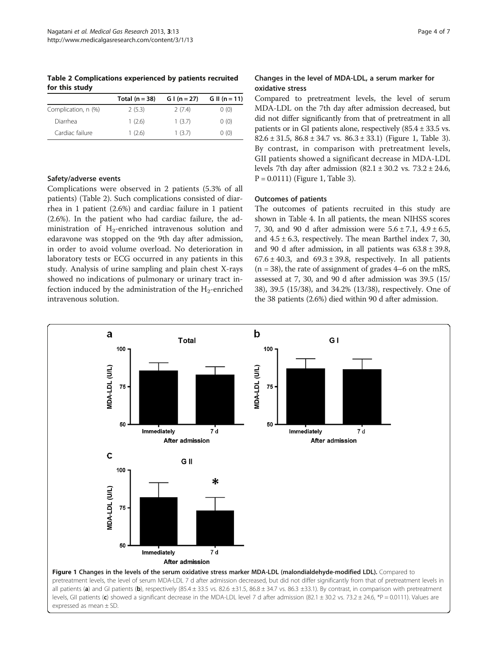Table 2 Complications experienced by patients recruited for this study

|                     | Total $(n = 38)$ | $G I (n = 27)$ | G II (n = 11) |
|---------------------|------------------|----------------|---------------|
| Complication, n (%) | 2(5.3)           | 2(7.4)         | 0(0)          |
| Diarrhea            | 1(2.6)           | 1(3.7)         | 0(0)          |
| Cardiac failure     | 1(2.6)           | 1(3.7)         | 0(0)          |

## Safety/adverse events

Complications were observed in 2 patients (5.3% of all patients) (Table 2). Such complications consisted of diarrhea in 1 patient (2.6%) and cardiac failure in 1 patient (2.6%). In the patient who had cardiac failure, the administration of  $H_2$ -enriched intravenous solution and edaravone was stopped on the 9th day after admission, in order to avoid volume overload. No deterioration in laboratory tests or ECG occurred in any patients in this study. Analysis of urine sampling and plain chest X-rays showed no indications of pulmonary or urinary tract infection induced by the administration of the  $H_2$ -enriched intravenous solution.

## Changes in the level of MDA-LDL, a serum marker for oxidative stress

Compared to pretreatment levels, the level of serum MDA-LDL on the 7th day after admission decreased, but did not differ significantly from that of pretreatment in all patients or in GI patients alone, respectively  $(85.4 \pm 33.5 \text{ vs.})$  $82.6 \pm 31.5$  $82.6 \pm 31.5$  $82.6 \pm 31.5$ ,  $86.8 \pm 34.7$  vs.  $86.3 \pm 33.1$ ) (Figure 1, Table 3). By contrast, in comparison with pretreatment levels, GII patients showed a significant decrease in MDA-LDL levels 7th day after admission  $(82.1 \pm 30.2 \text{ vs. } 73.2 \pm 24.6,$  $P = 0.0111$ ) (Figure 1, Table [3](#page-4-0)).

## Outcomes of patients

The outcomes of patients recruited in this study are shown in Table [4.](#page-4-0) In all patients, the mean NIHSS scores 7, 30, and 90 d after admission were  $5.6 \pm 7.1$ ,  $4.9 \pm 6.5$ , and  $4.5 \pm 6.3$ , respectively. The mean Barthel index 7, 30, and 90 d after admission, in all patients was  $63.8 \pm 39.8$ ,  $67.6 \pm 40.3$ , and  $69.3 \pm 39.8$ , respectively. In all patients  $(n = 38)$ , the rate of assignment of grades 4–6 on the mRS, assessed at 7, 30, and 90 d after admission was 39.5 (15/ 38), 39.5 (15/38), and 34.2% (13/38), respectively. One of the 38 patients (2.6%) died within 90 d after admission.

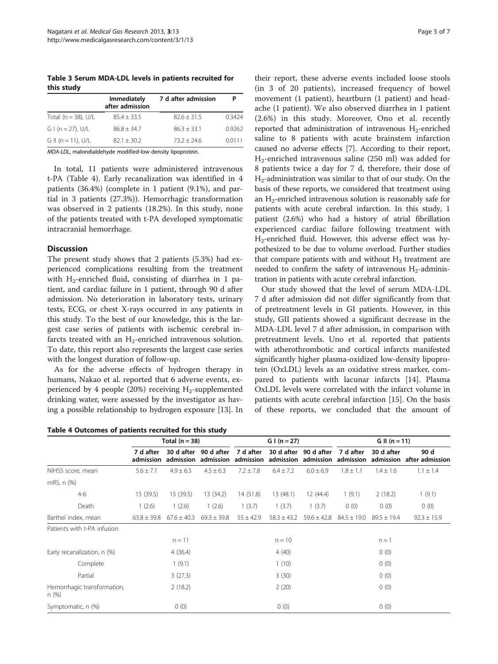<span id="page-4-0"></span>Table 3 Serum MDA-LDL levels in patients recruited for this study

|                         | Immediately<br>after admission | 7 d after admission | Р      |  |
|-------------------------|--------------------------------|---------------------|--------|--|
| Total ( $n = 38$ ), U/L | $85.4 + 33.5$                  | $82.6 + 31.5$       | 0.3424 |  |
| $G I (n = 27)$ , U/L    | $86.8 + 34.7$                  | $86.3 + 33.1$       | 0.9262 |  |
| G II (n = 11), $U/L$    | $82.1 + 30.2$                  | $73.2 + 24.6$       | 0.0111 |  |

MDA-LDL, malondialdehyde modified-low density lipoprotein.

In total, 11 patients were administered intravenous t-PA (Table 4). Early recanalization was identified in 4 patients (36.4%) (complete in 1 patient (9.1%), and partial in 3 patients (27.3%)). Hemorrhagic transformation was observed in 2 patients (18.2%). In this study, none of the patients treated with t-PA developed symptomatic intracranial hemorrhage.

## **Discussion**

The present study shows that 2 patients (5.3%) had experienced complications resulting from the treatment with  $H_2$ -enriched fluid, consisting of diarrhea in 1 patient, and cardiac failure in 1 patient, through 90 d after admission. No deterioration in laboratory tests, urinary tests, ECG, or chest X-rays occurred in any patients in this study. To the best of our knowledge, this is the largest case series of patients with ischemic cerebral infarcts treated with an  $H_2$ -enriched intravenous solution. To date, this report also represents the largest case series with the longest duration of follow-up.

As for the adverse effects of hydrogen therapy in humans, Nakao et al. reported that 6 adverse events, experienced by 4 people (20%) receiving  $H_2$ -supplemented drinking water, were assessed by the investigator as having a possible relationship to hydrogen exposure [[13](#page-6-0)]. In

Table 4 Outcomes of patients recruited for this study

their report, these adverse events included loose stools (in 3 of 20 patients), increased frequency of bowel movement (1 patient), heartburn (1 patient) and headache (1 patient). We also observed diarrhea in 1 patient (2.6%) in this study. Moreover, Ono et al. recently reported that administration of intravenous  $H_2$ -enriched saline to 8 patients with acute brainstem infarction caused no adverse effects [[7\]](#page-6-0). According to their report, H2-enriched intravenous saline (250 ml) was added for 8 patients twice a day for 7 d, therefore, their dose of H2-administration was similar to that of our study. On the basis of these reports, we considered that treatment using an  $H<sub>2</sub>$ -enriched intravenous solution is reasonably safe for patients with acute cerebral infarction. In this study, 1 patient (2.6%) who had a history of atrial fibrillation experienced cardiac failure following treatment with H2-enriched fluid. However, this adverse effect was hypothesized to be due to volume overload. Further studies that compare patients with and without  $H_2$  treatment are needed to confirm the safety of intravenous  $H_2$ -administration in patients with acute cerebral infarction.

Our study showed that the level of serum MDA-LDL 7 d after admission did not differ significantly from that of pretreatment levels in GI patients. However, in this study, GII patients showed a significant decrease in the MDA-LDL level 7 d after admission, in comparison with pretreatment levels. Uno et al. reported that patients with atherothrombotic and cortical infarcts manifested significantly higher plasma-oxidized low-density lipoprotein (OxLDL) levels as an oxidative stress marker, compared to patients with lacunar infarcts [\[14\]](#page-6-0). Plasma OxLDL levels were correlated with the infarct volume in patients with acute cerebral infarction [\[15\]](#page-6-0). On the basis of these reports, we concluded that the amount of

|                                     | Total $(n = 38)$ |                     | $G I (n = 27)$                     |                        | G II ( $n = 11$ )       |                         |                        |                         |                         |
|-------------------------------------|------------------|---------------------|------------------------------------|------------------------|-------------------------|-------------------------|------------------------|-------------------------|-------------------------|
|                                     | 7 d after        | admission admission | 30 d after 90 d after<br>admission | 7 d after<br>admission | 30 d after<br>admission | 90 d after<br>admission | 7 d after<br>admission | 30 d after<br>admission | 90 d<br>after admission |
| NIHSS score, mean                   | $5.6 \pm 7.1$    | $4.9 \pm 6.5$       | $4.5 \pm 6.3$                      | $7.2 \pm 7.8$          | $6.4 \pm 7.2$           | $6.0 \pm 6.9$           | $1.8 \pm 1.1$          | $1.4 \pm 1.6$           | $1.1 \pm 1.4$           |
| mRS, n (%)                          |                  |                     |                                    |                        |                         |                         |                        |                         |                         |
| $4-6$                               | 15 (39.5)        | 15(39.5)            | 13 (34.2)                          | 14(51.8)               | 13 (48.1)               | 12 (44.4)               | 1(9.1)                 | 2(18.2)                 | 1(9.1)                  |
| Death                               | 1(2.6)           | 1(2.6)              | 1(2.6)                             | 1(3.7)                 | 1(3.7)                  | 1(3.7)                  | 0(0)                   | 0(0)                    | 0(0)                    |
| Barthel index, mean                 | $63.8 \pm 39.8$  | $67.6 \pm 40.3$     | $69.3 \pm 39.8$                    | $55 \pm 42.9$          | $58.3 \pm 43.2$         | $59.6 \pm 42.8$         | $84.5 \pm 19.0$        | $89.5 \pm 19.4$         | $92.3 \pm 15.9$         |
| Patients with t-PA infusion         |                  |                     |                                    |                        |                         |                         |                        |                         |                         |
|                                     |                  | $n = 11$            |                                    |                        | $n = 10$                |                         |                        | $n = 1$                 |                         |
| Early recanalization, n (%)         |                  | 4(36.4)             |                                    |                        | 4(40)                   |                         |                        | 0(0)                    |                         |
| Complete                            |                  | 1(9.1)              |                                    |                        | 1(10)                   |                         |                        | 0(0)                    |                         |
| Partial                             |                  | 3(27.3)             |                                    |                        | 3(30)                   |                         |                        | 0(0)                    |                         |
| Hemorrhagic transformation,<br>n(%) |                  | 2(18.2)             |                                    |                        | 2(20)                   |                         |                        | 0(0)                    |                         |
| Symptomatic, n (%)                  |                  | 0(0)                |                                    |                        | 0(0)                    |                         |                        | 0(0)                    |                         |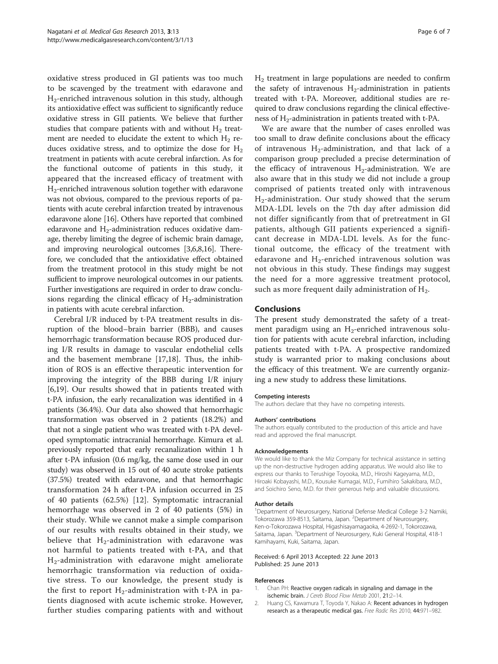<span id="page-5-0"></span>oxidative stress produced in GI patients was too much to be scavenged by the treatment with edaravone and H2-enriched intravenous solution in this study, although its antioxidative effect was sufficient to significantly reduce oxidative stress in GII patients. We believe that further studies that compare patients with and without  $H_2$  treatment are needed to elucidate the extent to which  $H_2$  reduces oxidative stress, and to optimize the dose for  $H_2$ treatment in patients with acute cerebral infarction. As for the functional outcome of patients in this study, it appeared that the increased efficacy of treatment with H2-enriched intravenous solution together with edaravone was not obvious, compared to the previous reports of patients with acute cerebral infarction treated by intravenous edaravone alone [\[16\]](#page-6-0). Others have reported that combined edaravone and  $H_2$ -administration reduces oxidative damage, thereby limiting the degree of ischemic brain damage, and improving neurological outcomes [\[3,6,8,16](#page-6-0)]. Therefore, we concluded that the antioxidative effect obtained from the treatment protocol in this study might be not sufficient to improve neurological outcomes in our patients. Further investigations are required in order to draw conclusions regarding the clinical efficacy of  $H_2$ -administration in patients with acute cerebral infarction.

Cerebral I/R induced by t-PA treatment results in disruption of the blood–brain barrier (BBB), and causes hemorrhagic transformation because ROS produced during I/R results in damage to vascular endothelial cells and the basement membrane [[17,18\]](#page-6-0). Thus, the inhibition of ROS is an effective therapeutic intervention for improving the integrity of the BBB during I/R injury [[6,19\]](#page-6-0). Our results showed that in patients treated with t-PA infusion, the early recanalization was identified in 4 patients (36.4%). Our data also showed that hemorrhagic transformation was observed in 2 patients (18.2%) and that not a single patient who was treated with t-PA developed symptomatic intracranial hemorrhage. Kimura et al. previously reported that early recanalization within 1 h after t-PA infusion (0.6 mg/kg, the same dose used in our study) was observed in 15 out of 40 acute stroke patients (37.5%) treated with edaravone, and that hemorrhagic transformation 24 h after t-PA infusion occurred in 25 of 40 patients (62.5%) [\[12](#page-6-0)]. Symptomatic intracranial hemorrhage was observed in 2 of 40 patients (5%) in their study. While we cannot make a simple comparison of our results with results obtained in their study, we believe that  $H_2$ -administration with edaravone was not harmful to patients treated with t-PA, and that H2-administration with edaravone might ameliorate hemorrhagic transformation via reduction of oxidative stress. To our knowledge, the present study is the first to report  $H_2$ -administration with t-PA in patients diagnosed with acute ischemic stroke. However, further studies comparing patients with and without  $H<sub>2</sub>$  treatment in large populations are needed to confirm the safety of intravenous  $H_2$ -administration in patients treated with t-PA. Moreover, additional studies are required to draw conclusions regarding the clinical effectiveness of H<sub>2</sub>-administration in patients treated with t-PA.

We are aware that the number of cases enrolled was too small to draw definite conclusions about the efficacy of intravenous  $H_2$ -administration, and that lack of a comparison group precluded a precise determination of the efficacy of intravenous  $H_2$ -administration. We are also aware that in this study we did not include a group comprised of patients treated only with intravenous H<sub>2</sub>-administration. Our study showed that the serum MDA-LDL levels on the 7th day after admission did not differ significantly from that of pretreatment in GI patients, although GII patients experienced a significant decrease in MDA-LDL levels. As for the functional outcome, the efficacy of the treatment with edaravone and  $H_2$ -enriched intravenous solution was not obvious in this study. These findings may suggest the need for a more aggressive treatment protocol, such as more frequent daily administration of  $H<sub>2</sub>$ .

## Conclusions

The present study demonstrated the safety of a treatment paradigm using an  $H_2$ -enriched intravenous solution for patients with acute cerebral infarction, including patients treated with t-PA. A prospective randomized study is warranted prior to making conclusions about the efficacy of this treatment. We are currently organizing a new study to address these limitations.

#### Competing interests

The authors declare that they have no competing interests.

#### Authors' contributions

The authors equally contributed to the production of this article and have read and approved the final manuscript.

#### Acknowledgements

We would like to thank the Miz Company for technical assistance in setting up the non-destructive hydrogen adding apparatus. We would also like to express our thanks to Terushige Toyooka, M.D., Hiroshi Kageyama, M.D., Hiroaki Kobayashi, M.D., Kousuke Kumagai, M.D., Fumihiro Sakakibara, M.D., and Soichiro Seno, M.D. for their generous help and valuable discussions.

#### Author details

<sup>1</sup>Department of Neurosurgery, National Defense Medical College 3-2 Namiki, Tokorozawa 359-8513, Saitama, Japan. <sup>2</sup>Department of Neurosurgery Ken-o-Tokorozawa Hospital, Higashisayamagaoka, 4-2692-1, Tokorozawa, Saitama, Japan. <sup>3</sup>Department of Neurosurgery, Kuki General Hospital, 418-1 Kamihayami, Kuki, Saitama, Japan.

#### Received: 6 April 2013 Accepted: 22 June 2013 Published: 25 June 2013

#### References

- 1. Chan PH: Reactive oxygen radicals in signaling and damage in the ischemic brain. J Cereb Blood Flow Metab 2001, 21:2–14.
- 2. Huang CS, Kawamura T, Toyoda Y, Nakao A: Recent advances in hydrogen research as a therapeutic medical gas. Free Radic Res 2010, 44:971–982.